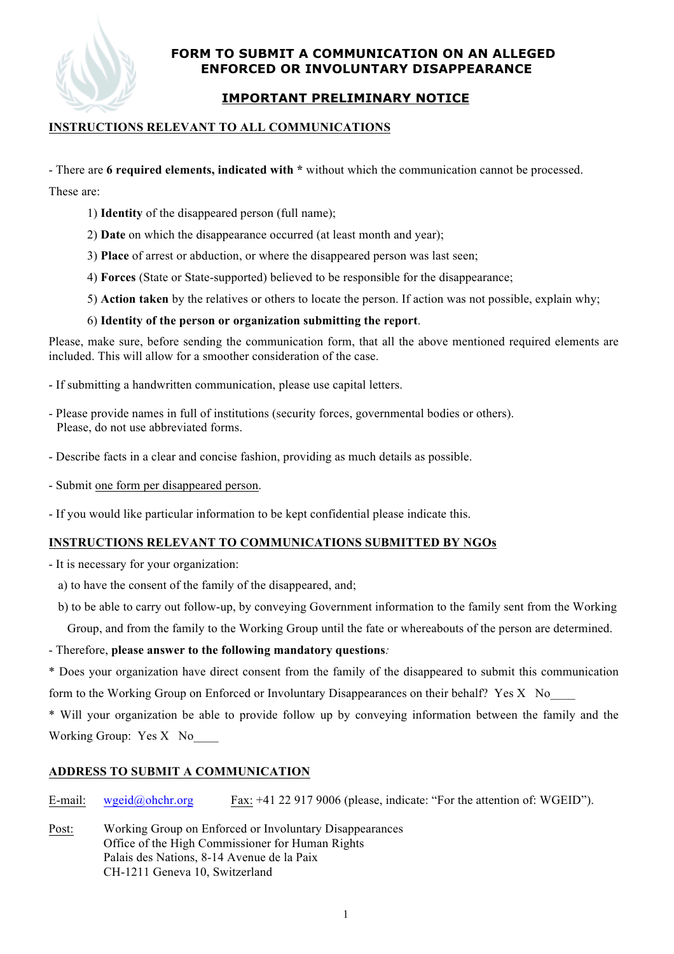# **FORM TO SUBMIT A COMMUNICATION ON AN ALLEGED ENFORCED OR INVOLUNTARY DISAPPEARANCE**

# **IMPORTANT PRELIMINARY NOTICE**

#### **INSTRUCTIONS RELEVANT TO ALL COMMUNICATIONS**

- There are **6 required elements, indicated with \*** without which the communication cannot be processed.

These are:

- 1) **Identity** of the disappeared person (full name);
- 2) **Date** on which the disappearance occurred (at least month and year);
- 3) **Place** of arrest or abduction, or where the disappeared person was last seen;
- 4) **Forces** (State or State-supported) believed to be responsible for the disappearance;
- 5) **Action taken** by the relatives or others to locate the person. If action was not possible, explain why;

#### 6) **Identity of the person or organization submitting the report**.

Please, make sure, before sending the communication form, that all the above mentioned required elements are included. This will allow for a smoother consideration of the case.

- If submitting a handwritten communication, please use capital letters.
- Please provide names in full of institutions (security forces, governmental bodies or others). Please, do not use abbreviated forms.
- Describe facts in a clear and concise fashion, providing as much details as possible.
- Submit one form per disappeared person.
- If you would like particular information to be kept confidential please indicate this.

#### **INSTRUCTIONS RELEVANT TO COMMUNICATIONS SUBMITTED BY NGOs**

- It is necessary for your organization:

- a) to have the consent of the family of the disappeared, and;
- b) to be able to carry out follow-up, by conveying Government information to the family sent from the Working Group, and from the family to the Working Group until the fate or whereabouts of the person are determined.
- Therefore, **please answer to the following mandatory questions***:*

\* Does your organization have direct consent from the family of the disappeared to submit this communication form to the Working Group on Enforced or Involuntary Disappearances on their behalf? Yes X No\_\_\_\_

\* Will your organization be able to provide follow up by conveying information between the family and the Working Group: Yes X No\_\_\_\_

#### **ADDRESS TO SUBMIT A COMMUNICATION**

E-mail: wgeid@ohchr.org Fax: +41 22 917 9006 (please, indicate: "For the attention of: WGEID").

Post: Working Group on Enforced or Involuntary Disappearances Office of the High Commissioner for Human Rights Palais des Nations, 8-14 Avenue de la Paix CH-1211 Geneva 10, Switzerland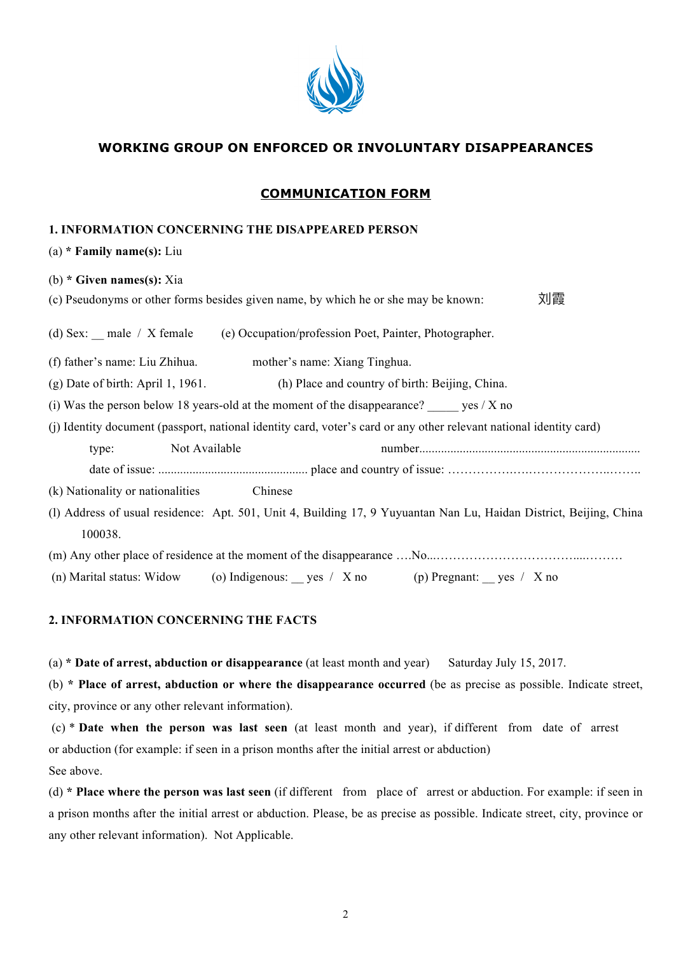

## **WORKING GROUP ON ENFORCED OR INVOLUNTARY DISAPPEARANCES**

#### **COMMUNICATION FORM**

#### **1. INFORMATION CONCERNING THE DISAPPEARED PERSON**

(a) **\* Family name(s):** Liu

| (b) $*$ Given names(s): Xia                                                                                         |
|---------------------------------------------------------------------------------------------------------------------|
| 刘霞<br>(c) Pseudonyms or other forms besides given name, by which he or she may be known:                            |
|                                                                                                                     |
| (d) Sex: $\_\_$ male / X female<br>(e) Occupation/profession Poet, Painter, Photographer.                           |
| (f) father's name: Liu Zhihua.<br>mother's name: Xiang Tinghua.                                                     |
| $(g)$ Date of birth: April 1, 1961.<br>(h) Place and country of birth: Beijing, China.                              |
| (i) Was the person below 18 years-old at the moment of the disappearance? yes $/X$ no                               |
| (j) Identity document (passport, national identity card, voter's card or any other relevant national identity card) |
| Not Available<br>type:                                                                                              |
|                                                                                                                     |
| Chinese<br>(k) Nationality or nationalities                                                                         |
| (I) Address of usual residence: Apt. 501, Unit 4, Building 17, 9 Yuyuantan Nan Lu, Haidan District, Beijing, China  |
| 100038.                                                                                                             |
|                                                                                                                     |
| (n) Marital status: Widow (o) Indigenous: _ yes / X no (p) Pregnant: _ yes / X no                                   |

#### **2. INFORMATION CONCERNING THE FACTS**

(a) **\* Date of arrest, abduction or disappearance** (at least month and year) Saturday July 15, 2017.

(b) **\* Place of arrest, abduction or where the disappearance occurred** (be as precise as possible. Indicate street, city, province or any other relevant information).

(c) \* **Date when the person was last seen** (at least month and year), if different from date of arrest or abduction (for example: if seen in a prison months after the initial arrest or abduction) See above.

(d) **\* Place where the person was last seen** (if different from place of arrest or abduction. For example: if seen in a prison months after the initial arrest or abduction. Please, be as precise as possible. Indicate street, city, province or any other relevant information). Not Applicable.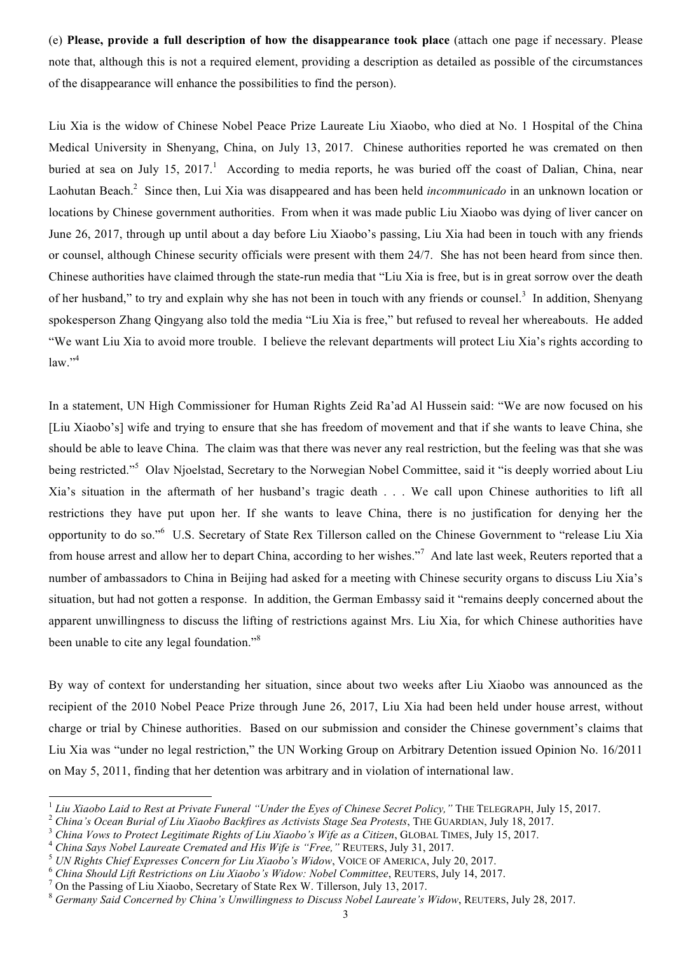(e) **Please, provide a full description of how the disappearance took place** (attach one page if necessary. Please note that, although this is not a required element, providing a description as detailed as possible of the circumstances of the disappearance will enhance the possibilities to find the person).

Liu Xia is the widow of Chinese Nobel Peace Prize Laureate Liu Xiaobo, who died at No. 1 Hospital of the China Medical University in Shenyang, China, on July 13, 2017. Chinese authorities reported he was cremated on then buried at sea on July 15, 2017.<sup>1</sup> According to media reports, he was buried off the coast of Dalian, China, near Laohutan Beach.<sup>2</sup> Since then, Lui Xia was disappeared and has been held *incommunicado* in an unknown location or locations by Chinese government authorities. From when it was made public Liu Xiaobo was dying of liver cancer on June 26, 2017, through up until about a day before Liu Xiaobo's passing, Liu Xia had been in touch with any friends or counsel, although Chinese security officials were present with them 24/7. She has not been heard from since then. Chinese authorities have claimed through the state-run media that "Liu Xia is free, but is in great sorrow over the death of her husband," to try and explain why she has not been in touch with any friends or counsel.<sup>3</sup> In addition, Shenyang spokesperson Zhang Qingyang also told the media "Liu Xia is free," but refused to reveal her whereabouts. He added "We want Liu Xia to avoid more trouble. I believe the relevant departments will protect Liu Xia's rights according to  $law.$ <sup>"4</sup>

In a statement, UN High Commissioner for Human Rights Zeid Ra'ad Al Hussein said: "We are now focused on his [Liu Xiaobo's] wife and trying to ensure that she has freedom of movement and that if she wants to leave China, she should be able to leave China. The claim was that there was never any real restriction, but the feeling was that she was being restricted."<sup>5</sup> Olav Njoelstad, Secretary to the Norwegian Nobel Committee, said it "is deeply worried about Liu Xia's situation in the aftermath of her husband's tragic death . . . We call upon Chinese authorities to lift all restrictions they have put upon her. If she wants to leave China, there is no justification for denying her the opportunity to do so."<sup>6</sup> U.S. Secretary of State Rex Tillerson called on the Chinese Government to "release Liu Xia from house arrest and allow her to depart China, according to her wishes."<sup>7</sup> And late last week, Reuters reported that a number of ambassadors to China in Beijing had asked for a meeting with Chinese security organs to discuss Liu Xia's situation, but had not gotten a response. In addition, the German Embassy said it "remains deeply concerned about the apparent unwillingness to discuss the lifting of restrictions against Mrs. Liu Xia, for which Chinese authorities have been unable to cite any legal foundation."<sup>8</sup>

By way of context for understanding her situation, since about two weeks after Liu Xiaobo was announced as the recipient of the 2010 Nobel Peace Prize through June 26, 2017, Liu Xia had been held under house arrest, without charge or trial by Chinese authorities. Based on our submission and consider the Chinese government's claims that Liu Xia was "under no legal restriction," the UN Working Group on Arbitrary Detention issued Opinion No. 16/2011 on May 5, 2011, finding that her detention was arbitrary and in violation of international law.

<sup>&</sup>lt;sup>1</sup> Liu Xiaobo Laid to Rest at Private Funeral "Under the Eyes of Chinese Secret Policy," THE TELEGRAPH, July 15, 2017.<br>
<sup>2</sup> China's Ocean Burial of Liu Xiaobo Backfires as Activists Stage Sea Protests, THE GUARDIAN, July

<sup>8</sup> *Germany Said Concerned by China's Unwillingness to Discuss Nobel Laureate's Widow*, REUTERS, July 28, 2017.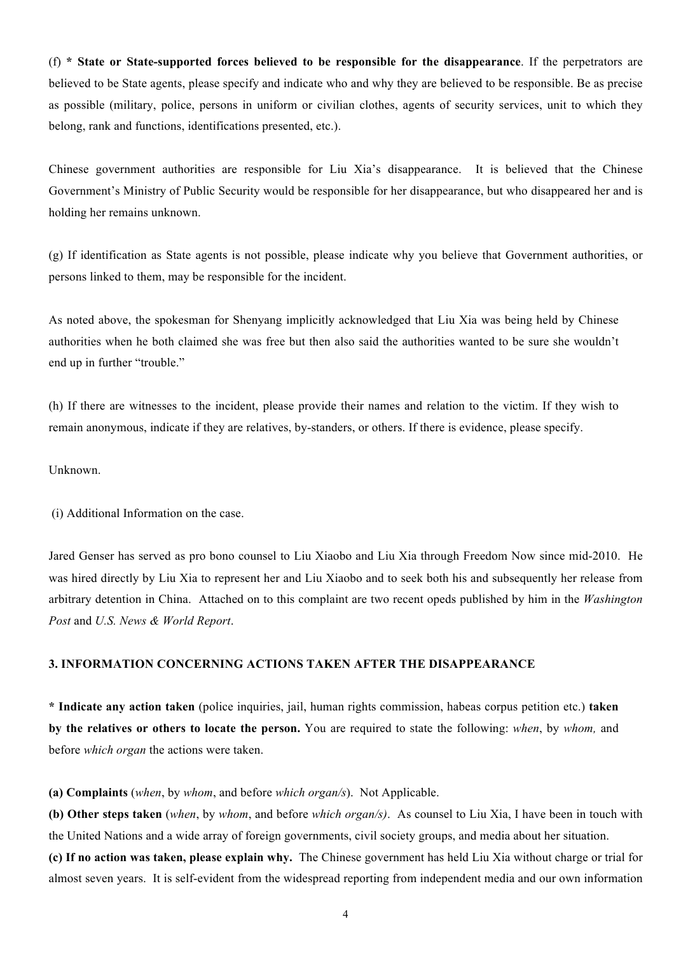(f) **\* State or State-supported forces believed to be responsible for the disappearance**. If the perpetrators are believed to be State agents, please specify and indicate who and why they are believed to be responsible. Be as precise as possible (military, police, persons in uniform or civilian clothes, agents of security services, unit to which they belong, rank and functions, identifications presented, etc.).

Chinese government authorities are responsible for Liu Xia's disappearance. It is believed that the Chinese Government's Ministry of Public Security would be responsible for her disappearance, but who disappeared her and is holding her remains unknown.

(g) If identification as State agents is not possible, please indicate why you believe that Government authorities, or persons linked to them, may be responsible for the incident.

As noted above, the spokesman for Shenyang implicitly acknowledged that Liu Xia was being held by Chinese authorities when he both claimed she was free but then also said the authorities wanted to be sure she wouldn't end up in further "trouble."

(h) If there are witnesses to the incident, please provide their names and relation to the victim. If they wish to remain anonymous, indicate if they are relatives, by-standers, or others. If there is evidence, please specify.

#### Unknown.

(i) Additional Information on the case.

Jared Genser has served as pro bono counsel to Liu Xiaobo and Liu Xia through Freedom Now since mid-2010. He was hired directly by Liu Xia to represent her and Liu Xiaobo and to seek both his and subsequently her release from arbitrary detention in China. Attached on to this complaint are two recent opeds published by him in the *Washington Post* and *U.S. News & World Report*.

#### **3. INFORMATION CONCERNING ACTIONS TAKEN AFTER THE DISAPPEARANCE**

**\* Indicate any action taken** (police inquiries, jail, human rights commission, habeas corpus petition etc.) **taken by the relatives or others to locate the person.** You are required to state the following: *when*, by *whom*, and before *which organ* the actions were taken.

**(a) Complaints** (*when*, by *whom*, and before *which organ/s*). Not Applicable.

**(b) Other steps taken** (*when*, by *whom*, and before *which organ/s)*. As counsel to Liu Xia, I have been in touch with the United Nations and a wide array of foreign governments, civil society groups, and media about her situation.

**(c) If no action was taken, please explain why.** The Chinese government has held Liu Xia without charge or trial for almost seven years. It is self-evident from the widespread reporting from independent media and our own information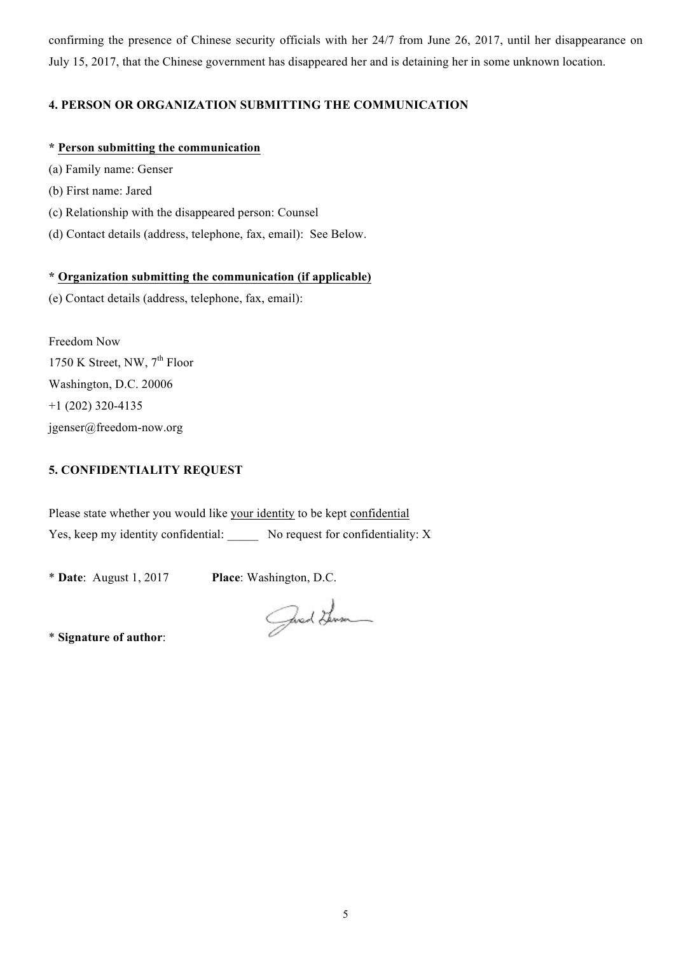confirming the presence of Chinese security officials with her 24/7 from June 26, 2017, until her disappearance on July 15, 2017, that the Chinese government has disappeared her and is detaining her in some unknown location.

## **4. PERSON OR ORGANIZATION SUBMITTING THE COMMUNICATION**

#### **\* Person submitting the communication**

- (a) Family name: Genser
- (b) First name: Jared
- (c) Relationship with the disappeared person: Counsel
- (d) Contact details (address, telephone, fax, email): See Below.

#### **\* Organization submitting the communication (if applicable)**

(e) Contact details (address, telephone, fax, email):

Freedom Now 1750 K Street, NW,  $7<sup>th</sup>$  Floor Washington, D.C. 20006  $+1$  (202) 320-4135 jgenser@freedom-now.org

## **5. CONFIDENTIALITY REQUEST**

Please state whether you would like your identity to be kept confidential Yes, keep my identity confidential: \_\_\_\_\_ No request for confidentiality: X

\* **Date**: August 1, 2017 **Place**: Washington, D.C.

Juel Herm

\* **Signature of author**: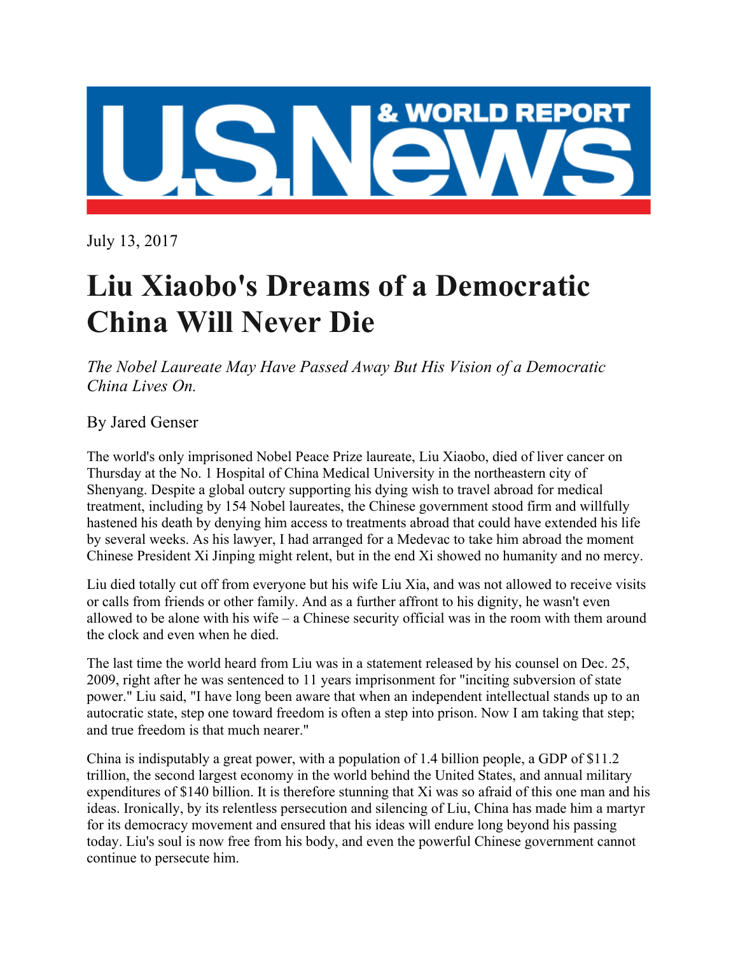

July 13, 2017

# **Liu Xiaobo's Dreams of a Democratic China Will Never Die**

*The Nobel Laureate May Have Passed Away But His Vision of a Democratic China Lives On.*

# By Jared Genser

The world's only imprisoned Nobel Peace Prize laureate, Liu Xiaobo, died of liver cancer on Thursday at the No. 1 Hospital of China Medical University in the northeastern city of Shenyang. Despite a global outcry supporting his dying wish to travel abroad for medical treatment, including by 154 Nobel laureates, the Chinese government stood firm and willfully hastened his death by denying him access to treatments abroad that could have extended his life by several weeks. As his lawyer, I had arranged for a Medevac to take him abroad the moment Chinese President Xi Jinping might relent, but in the end Xi showed no humanity and no mercy.

Liu died totally cut off from everyone but his wife Liu Xia, and was not allowed to receive visits or calls from friends or other family. And as a further affront to his dignity, he wasn't even allowed to be alone with his wife – a Chinese security official was in the room with them around the clock and even when he died.

The last time the world heard from Liu was in a statement released by his counsel on Dec. 25, 2009, right after he was sentenced to 11 years imprisonment for "inciting subversion of state power." Liu said, "I have long been aware that when an independent intellectual stands up to an autocratic state, step one toward freedom is often a step into prison. Now I am taking that step; and true freedom is that much nearer."

China is indisputably a great power, with a population of 1.4 billion people, a GDP of \$11.2 trillion, the second largest economy in the world behind the United States, and annual military expenditures of \$140 billion. It is therefore stunning that Xi was so afraid of this one man and his ideas. Ironically, by its relentless persecution and silencing of Liu, China has made him a martyr for its democracy movement and ensured that his ideas will endure long beyond his passing today. Liu's soul is now free from his body, and even the powerful Chinese government cannot continue to persecute him.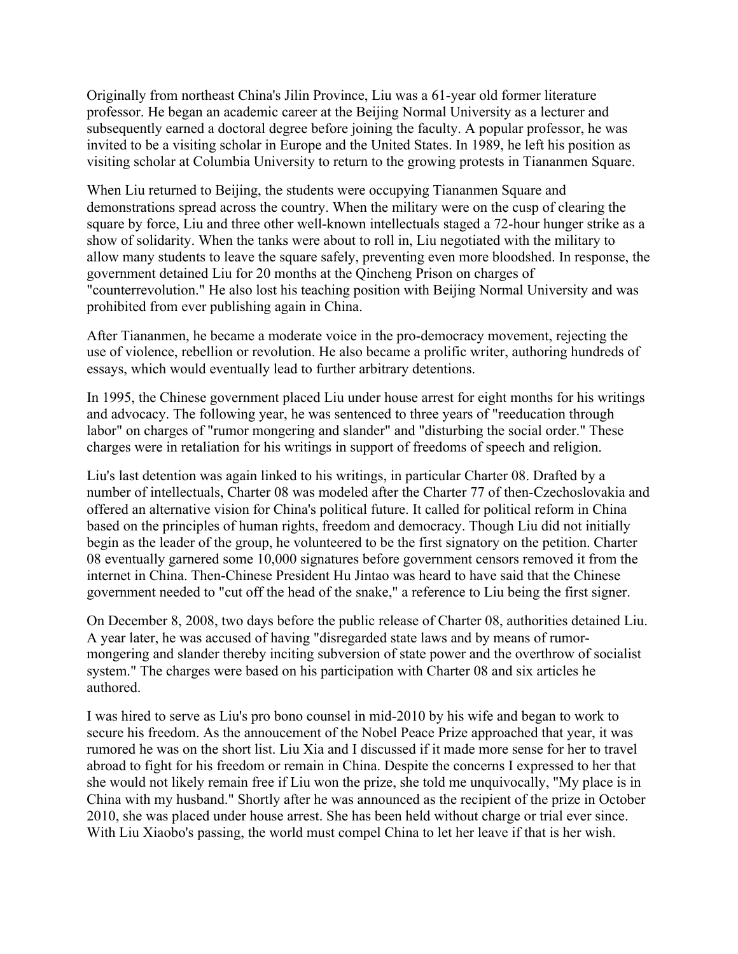Originally from northeast China's Jilin Province, Liu was a 61-year old former literature professor. He began an academic career at the Beijing Normal University as a lecturer and subsequently earned a doctoral degree before joining the faculty. A popular professor, he was invited to be a visiting scholar in Europe and the United States. In 1989, he left his position as visiting scholar at Columbia University to return to the growing protests in Tiananmen Square.

When Liu returned to Beijing, the students were occupying Tiananmen Square and demonstrations spread across the country. When the military were on the cusp of clearing the square by force, Liu and three other well-known intellectuals staged a 72-hour hunger strike as a show of solidarity. When the tanks were about to roll in, Liu negotiated with the military to allow many students to leave the square safely, preventing even more bloodshed. In response, the government detained Liu for 20 months at the Qincheng Prison on charges of "counterrevolution." He also lost his teaching position with Beijing Normal University and was prohibited from ever publishing again in China.

After Tiananmen, he became a moderate voice in the pro-democracy movement, rejecting the use of violence, rebellion or revolution. He also became a prolific writer, authoring hundreds of essays, which would eventually lead to further arbitrary detentions.

In 1995, the Chinese government placed Liu under house arrest for eight months for his writings and advocacy. The following year, he was sentenced to three years of "reeducation through labor" on charges of "rumor mongering and slander" and "disturbing the social order." These charges were in retaliation for his writings in support of freedoms of speech and religion.

Liu's last detention was again linked to his writings, in particular Charter 08. Drafted by a number of intellectuals, Charter 08 was modeled after the Charter 77 of then-Czechoslovakia and offered an alternative vision for China's political future. It called for political reform in China based on the principles of human rights, freedom and democracy. Though Liu did not initially begin as the leader of the group, he volunteered to be the first signatory on the petition. Charter 08 eventually garnered some 10,000 signatures before government censors removed it from the internet in China. Then-Chinese President Hu Jintao was heard to have said that the Chinese government needed to "cut off the head of the snake," a reference to Liu being the first signer.

On December 8, 2008, two days before the public release of Charter 08, authorities detained Liu. A year later, he was accused of having "disregarded state laws and by means of rumormongering and slander thereby inciting subversion of state power and the overthrow of socialist system." The charges were based on his participation with Charter 08 and six articles he authored.

I was hired to serve as Liu's pro bono counsel in mid-2010 by his wife and began to work to secure his freedom. As the annoucement of the Nobel Peace Prize approached that year, it was rumored he was on the short list. Liu Xia and I discussed if it made more sense for her to travel abroad to fight for his freedom or remain in China. Despite the concerns I expressed to her that she would not likely remain free if Liu won the prize, she told me unquivocally, "My place is in China with my husband." Shortly after he was announced as the recipient of the prize in October 2010, she was placed under house arrest. She has been held without charge or trial ever since. With Liu Xiaobo's passing, the world must compel China to let her leave if that is her wish.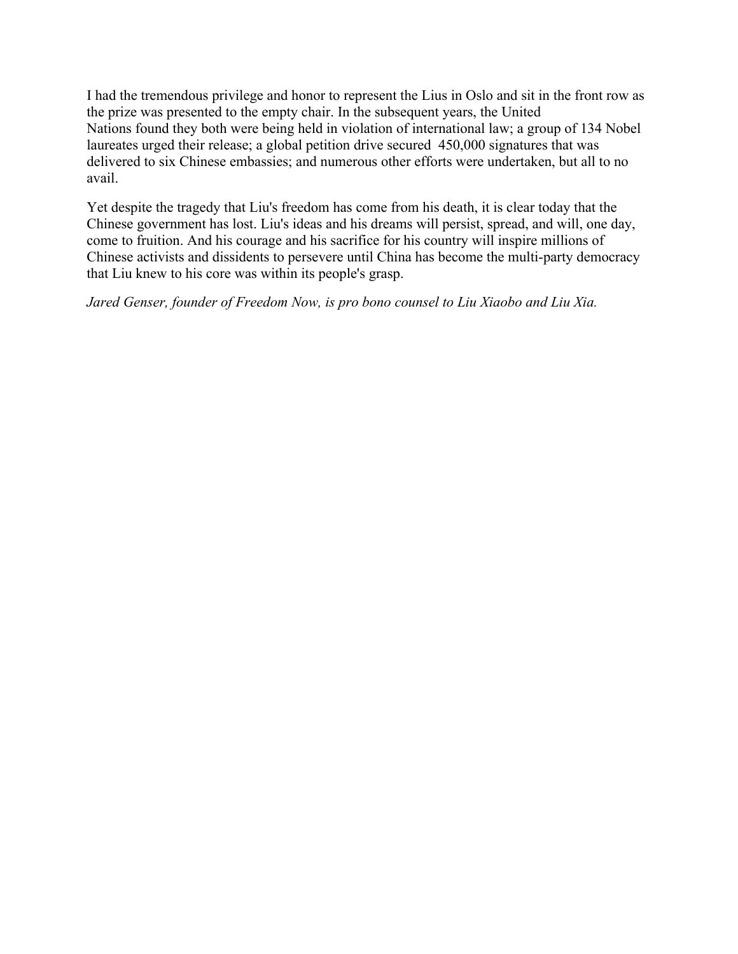I had the tremendous privilege and honor to represent the Lius in Oslo and sit in the front row as the prize was presented to the empty chair. In the subsequent years, the United Nations found they both were being held in violation of international law; a group of 134 Nobel laureates urged their release; a global petition drive secured 450,000 signatures that was delivered to six Chinese embassies; and numerous other efforts were undertaken, but all to no avail.

Yet despite the tragedy that Liu's freedom has come from his death, it is clear today that the Chinese government has lost. Liu's ideas and his dreams will persist, spread, and will, one day, come to fruition. And his courage and his sacrifice for his country will inspire millions of Chinese activists and dissidents to persevere until China has become the multi-party democracy that Liu knew to his core was within its people's grasp.

*Jared Genser, founder of Freedom Now, is pro bono counsel to Liu Xiaobo and Liu Xia.*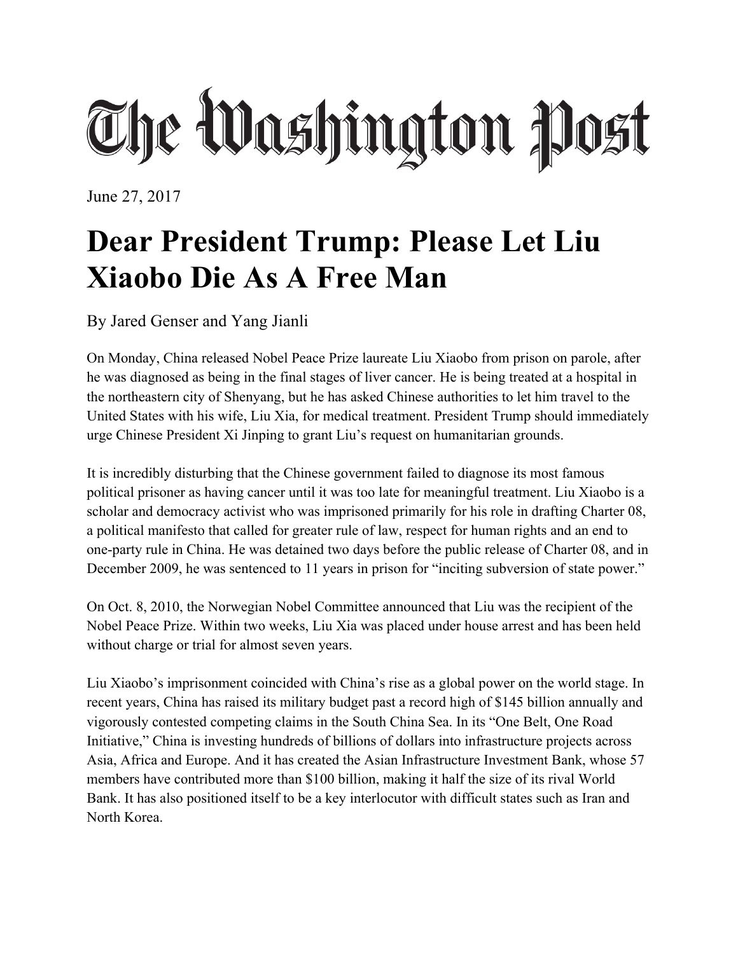# The Washington Post

June 27, 2017

# **Dear President Trump: Please Let Liu Xiaobo Die As A Free Man**

By Jared Genser and Yang Jianli

On Monday, China released Nobel Peace Prize laureate Liu Xiaobo from prison on parole, after he was diagnosed as being in the final stages of liver cancer. He is being treated at a hospital in the northeastern city of Shenyang, but he has asked Chinese authorities to let him travel to the United States with his wife, Liu Xia, for medical treatment. President Trump should immediately urge Chinese President Xi Jinping to grant Liu's request on humanitarian grounds.

It is incredibly disturbing that the Chinese government failed to diagnose its most famous political prisoner as having cancer until it was too late for meaningful treatment. Liu Xiaobo is a scholar and democracy activist who was imprisoned primarily for his role in drafting Charter 08, a political manifesto that called for greater rule of law, respect for human rights and an end to one-party rule in China. He was detained two days before the public release of Charter 08, and in December 2009, he was sentenced to 11 years in prison for "inciting subversion of state power."

On Oct. 8, 2010, the Norwegian Nobel Committee announced that Liu was the recipient of the Nobel Peace Prize. Within two weeks, Liu Xia was placed under house arrest and has been held without charge or trial for almost seven years.

Liu Xiaobo's imprisonment coincided with China's rise as a global power on the world stage. In recent years, China has raised its military budget past a record high of \$145 billion annually and vigorously contested competing claims in the South China Sea. In its "One Belt, One Road Initiative," China is investing hundreds of billions of dollars into infrastructure projects across Asia, Africa and Europe. And it has created the Asian Infrastructure Investment Bank, whose 57 members have contributed more than \$100 billion, making it half the size of its rival World Bank. It has also positioned itself to be a key interlocutor with difficult states such as Iran and North Korea.